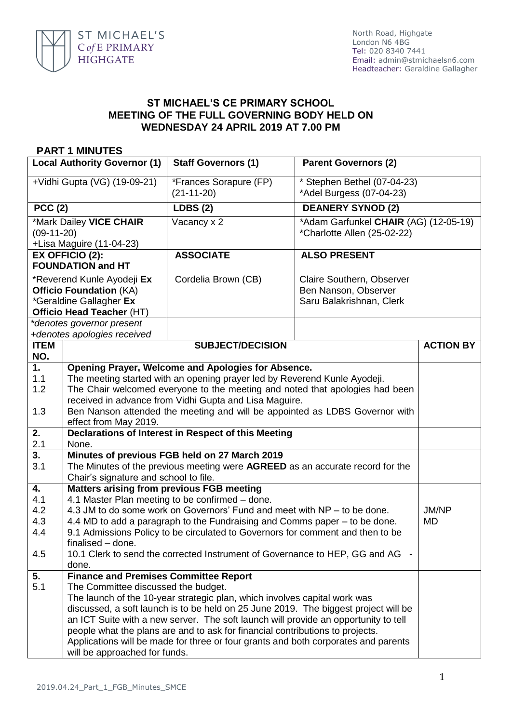

## **ST MICHAEL'S CE PRIMARY SCHOOL MEETING OF THE FULL GOVERNING BODY HELD ON WEDNESDAY 24 APRIL 2019 AT 7.00 PM**

## **PART 1 MINUTES**

| <b>Local Authority Governor (1)</b>                                                                                  |                                                                                  | <b>Staff Governors (1)</b>                                                          | <b>Parent Governors (2)</b>                                                   |                  |
|----------------------------------------------------------------------------------------------------------------------|----------------------------------------------------------------------------------|-------------------------------------------------------------------------------------|-------------------------------------------------------------------------------|------------------|
| +Vidhi Gupta (VG) (19-09-21)                                                                                         |                                                                                  | *Frances Sorapure (FP)<br>$(21-11-20)$                                              | * Stephen Bethel (07-04-23)<br>*Adel Burgess (07-04-23)                       |                  |
| <b>PCC (2)</b>                                                                                                       |                                                                                  | <b>LDBS (2)</b>                                                                     | <b>DEANERY SYNOD (2)</b>                                                      |                  |
| *Mark Dailey VICE CHAIR<br>$(09-11-20)$<br>+Lisa Maguire (11-04-23)                                                  |                                                                                  | Vacancy x 2                                                                         | *Adam Garfunkel CHAIR (AG) (12-05-19)<br>*Charlotte Allen (25-02-22)          |                  |
|                                                                                                                      | <b>EX OFFICIO (2):</b>                                                           | <b>ASSOCIATE</b>                                                                    | <b>ALSO PRESENT</b>                                                           |                  |
|                                                                                                                      | <b>FOUNDATION and HT</b>                                                         |                                                                                     |                                                                               |                  |
| *Reverend Kunle Ayodeji Ex<br><b>Officio Foundation (KA)</b><br>*Geraldine Gallagher Ex<br>Officio Head Teacher (HT) |                                                                                  | Cordelia Brown (CB)                                                                 | Claire Southern, Observer<br>Ben Nanson, Observer<br>Saru Balakrishnan, Clerk |                  |
|                                                                                                                      | *denotes governor present                                                        |                                                                                     |                                                                               |                  |
|                                                                                                                      | +denotes apologies received                                                      |                                                                                     |                                                                               |                  |
| <b>ITEM</b><br>NO.                                                                                                   |                                                                                  | <b>SUBJECT/DECISION</b>                                                             |                                                                               | <b>ACTION BY</b> |
| 1.                                                                                                                   |                                                                                  | Opening Prayer, Welcome and Apologies for Absence.                                  |                                                                               |                  |
| 1.1                                                                                                                  |                                                                                  | The meeting started with an opening prayer led by Reverend Kunle Ayodeji.           |                                                                               |                  |
| 1.2                                                                                                                  |                                                                                  | The Chair welcomed everyone to the meeting and noted that apologies had been        |                                                                               |                  |
|                                                                                                                      |                                                                                  | received in advance from Vidhi Gupta and Lisa Maguire.                              |                                                                               |                  |
| 1.3                                                                                                                  | Ben Nanson attended the meeting and will be appointed as LDBS Governor with      |                                                                                     |                                                                               |                  |
|                                                                                                                      | effect from May 2019.                                                            |                                                                                     |                                                                               |                  |
| 2.<br>2.1                                                                                                            | Declarations of Interest in Respect of this Meeting<br>None.                     |                                                                                     |                                                                               |                  |
| 3.                                                                                                                   | Minutes of previous FGB held on 27 March 2019                                    |                                                                                     |                                                                               |                  |
| 3.1                                                                                                                  | The Minutes of the previous meeting were AGREED as an accurate record for the    |                                                                                     |                                                                               |                  |
|                                                                                                                      | Chair's signature and school to file.                                            |                                                                                     |                                                                               |                  |
| 4.                                                                                                                   | <b>Matters arising from previous FGB meeting</b>                                 |                                                                                     |                                                                               |                  |
| 4.1                                                                                                                  |                                                                                  | 4.1 Master Plan meeting to be confirmed - done.                                     |                                                                               |                  |
| 4.2                                                                                                                  |                                                                                  | 4.3 JM to do some work on Governors' Fund and meet with NP – to be done.            |                                                                               | <b>JM/NP</b>     |
| 4.3                                                                                                                  | 4.4 MD to add a paragraph to the Fundraising and Comms paper – to be done.<br>MD |                                                                                     |                                                                               |                  |
| 4.4                                                                                                                  |                                                                                  | 9.1 Admissions Policy to be circulated to Governors for comment and then to be      |                                                                               |                  |
|                                                                                                                      | finalised - done.                                                                |                                                                                     |                                                                               |                  |
| 4.5                                                                                                                  | 10.1 Clerk to send the corrected Instrument of Governance to HEP, GG and AG -    |                                                                                     |                                                                               |                  |
| 5.                                                                                                                   | done.<br><b>Finance and Premises Committee Report</b>                            |                                                                                     |                                                                               |                  |
| 5.1                                                                                                                  | The Committee discussed the budget.                                              |                                                                                     |                                                                               |                  |
|                                                                                                                      |                                                                                  | The launch of the 10-year strategic plan, which involves capital work was           |                                                                               |                  |
|                                                                                                                      |                                                                                  | discussed, a soft launch is to be held on 25 June 2019. The biggest project will be |                                                                               |                  |
|                                                                                                                      |                                                                                  | an ICT Suite with a new server. The soft launch will provide an opportunity to tell |                                                                               |                  |
|                                                                                                                      | people what the plans are and to ask for financial contributions to projects.    |                                                                                     |                                                                               |                  |
|                                                                                                                      |                                                                                  | Applications will be made for three or four grants and both corporates and parents  |                                                                               |                  |
|                                                                                                                      | will be approached for funds.                                                    |                                                                                     |                                                                               |                  |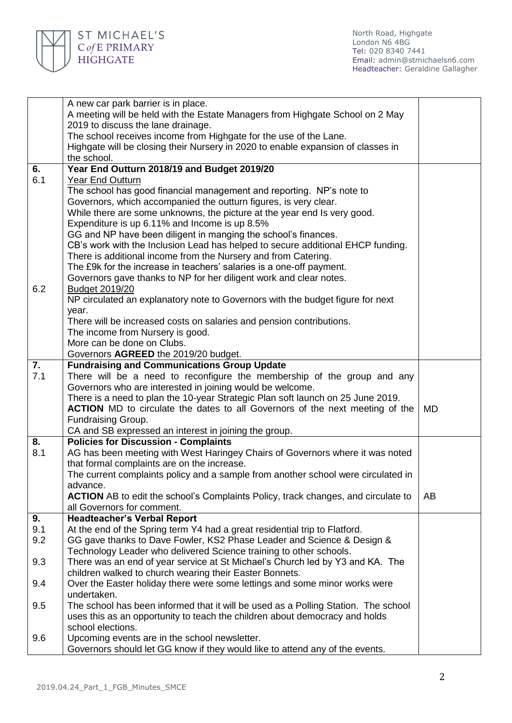

North Road, Highgate London N6 4BG Tel: 020 8340 7441 Email: [admin@stmichaelsn6.com](mailto:admin@stmichaelsn6.com) Headteacher: Geraldine Gallagher

| A new car park barrier is in place.                                                       |           |
|-------------------------------------------------------------------------------------------|-----------|
| A meeting will be held with the Estate Managers from Highgate School on 2 May             |           |
| 2019 to discuss the lane drainage.                                                        |           |
| The school receives income from Highgate for the use of the Lane.                         |           |
| Highgate will be closing their Nursery in 2020 to enable expansion of classes in          |           |
| the school.                                                                               |           |
| Year End Outturn 2018/19 and Budget 2019/20<br>6.                                         |           |
| 6.1<br><b>Year End Outturn</b>                                                            |           |
| The school has good financial management and reporting. NP's note to                      |           |
| Governors, which accompanied the outturn figures, is very clear.                          |           |
| While there are some unknowns, the picture at the year end Is very good.                  |           |
| Expenditure is up 6.11% and Income is up 8.5%                                             |           |
| GG and NP have been diligent in manging the school's finances.                            |           |
| CB's work with the Inclusion Lead has helped to secure additional EHCP funding.           |           |
| There is additional income from the Nursery and from Catering.                            |           |
| The £9k for the increase in teachers' salaries is a one-off payment.                      |           |
| Governors gave thanks to NP for her diligent work and clear notes.                        |           |
| 6.2<br><b>Budget 2019/20</b>                                                              |           |
| NP circulated an explanatory note to Governors with the budget figure for next            |           |
| year.                                                                                     |           |
| There will be increased costs on salaries and pension contributions.                      |           |
| The income from Nursery is good.                                                          |           |
| More can be done on Clubs.                                                                |           |
| Governors AGREED the 2019/20 budget.                                                      |           |
| 7.<br><b>Fundraising and Communications Group Update</b>                                  |           |
| 7.1<br>There will be a need to reconfigure the membership of the group and any            |           |
| Governors who are interested in joining would be welcome.                                 |           |
| There is a need to plan the 10-year Strategic Plan soft launch on 25 June 2019.           |           |
| <b>ACTION</b> MD to circulate the dates to all Governors of the next meeting of the       | <b>MD</b> |
| Fundraising Group.                                                                        |           |
| CA and SB expressed an interest in joining the group.                                     |           |
| <b>Policies for Discussion - Complaints</b><br>8.                                         |           |
| AG has been meeting with West Haringey Chairs of Governors where it was noted<br>8.1      |           |
| that formal complaints are on the increase.                                               |           |
| The current complaints policy and a sample from another school were circulated in         |           |
| advance.                                                                                  |           |
| <b>ACTION</b> AB to edit the school's Complaints Policy, track changes, and circulate to  | AB        |
| all Governors for comment.                                                                |           |
| <b>Headteacher's Verbal Report</b><br>9.                                                  |           |
| 9.1<br>At the end of the Spring term Y4 had a great residential trip to Flatford.         |           |
| 9.2<br>GG gave thanks to Dave Fowler, KS2 Phase Leader and Science & Design &             |           |
| Technology Leader who delivered Science training to other schools.                        |           |
| 9.3<br>There was an end of year service at St Michael's Church led by Y3 and KA. The      |           |
| children walked to church wearing their Easter Bonnets.                                   |           |
| Over the Easter holiday there were some lettings and some minor works were<br>9.4         |           |
| undertaken.                                                                               |           |
| The school has been informed that it will be used as a Polling Station. The school<br>9.5 |           |
| uses this as an opportunity to teach the children about democracy and holds               |           |
| school elections.                                                                         |           |
| 9.6<br>Upcoming events are in the school newsletter.                                      |           |
| Governors should let GG know if they would like to attend any of the events.              |           |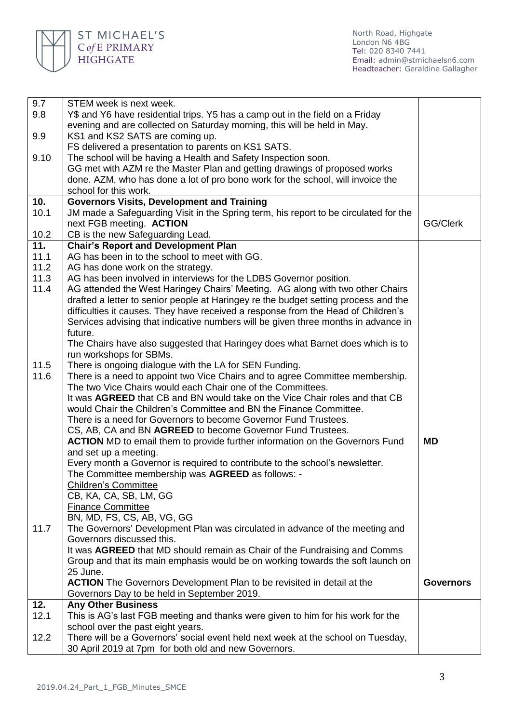

North Road, Highgate London N6 4BG Tel: 020 8340 7441 Email: [admin@stmichaelsn6.com](mailto:admin@stmichaelsn6.com) Headteacher: Geraldine Gallagher

| 9.7          | STEM week is next week.                                                                                                                 |                  |
|--------------|-----------------------------------------------------------------------------------------------------------------------------------------|------------------|
| 9.8          | Y\$ and Y6 have residential trips. Y5 has a camp out in the field on a Friday                                                           |                  |
|              | evening and are collected on Saturday morning, this will be held in May.                                                                |                  |
| 9.9          | KS1 and KS2 SATS are coming up.                                                                                                         |                  |
|              | FS delivered a presentation to parents on KS1 SATS.                                                                                     |                  |
| 9.10         | The school will be having a Health and Safety Inspection soon.                                                                          |                  |
|              | GG met with AZM re the Master Plan and getting drawings of proposed works                                                               |                  |
|              | done. AZM, who has done a lot of pro bono work for the school, will invoice the                                                         |                  |
|              | school for this work.                                                                                                                   |                  |
| 10.          | <b>Governors Visits, Development and Training</b>                                                                                       |                  |
| 10.1         | JM made a Safeguarding Visit in the Spring term, his report to be circulated for the                                                    |                  |
|              | next FGB meeting. ACTION                                                                                                                | GG/Clerk         |
| 10.2         | CB is the new Safeguarding Lead.                                                                                                        |                  |
| 11.          | <b>Chair's Report and Development Plan</b>                                                                                              |                  |
| 11.1         | AG has been in to the school to meet with GG.                                                                                           |                  |
| 11.2         | AG has done work on the strategy.                                                                                                       |                  |
| 11.3         | AG has been involved in interviews for the LDBS Governor position.                                                                      |                  |
| 11.4         | AG attended the West Haringey Chairs' Meeting. AG along with two other Chairs                                                           |                  |
|              | drafted a letter to senior people at Haringey re the budget setting process and the                                                     |                  |
|              | difficulties it causes. They have received a response from the Head of Children's                                                       |                  |
|              | Services advising that indicative numbers will be given three months in advance in                                                      |                  |
|              | future.                                                                                                                                 |                  |
|              | The Chairs have also suggested that Haringey does what Barnet does which is to                                                          |                  |
|              | run workshops for SBMs.                                                                                                                 |                  |
| 11.5<br>11.6 | There is ongoing dialogue with the LA for SEN Funding.<br>There is a need to appoint two Vice Chairs and to agree Committee membership. |                  |
|              | The two Vice Chairs would each Chair one of the Committees.                                                                             |                  |
|              | It was AGREED that CB and BN would take on the Vice Chair roles and that CB                                                             |                  |
|              | would Chair the Children's Committee and BN the Finance Committee.                                                                      |                  |
|              | There is a need for Governors to become Governor Fund Trustees.                                                                         |                  |
|              | CS, AB, CA and BN AGREED to become Governor Fund Trustees.                                                                              |                  |
|              | <b>ACTION</b> MD to email them to provide further information on the Governors Fund                                                     | <b>MD</b>        |
|              | and set up a meeting.                                                                                                                   |                  |
|              | Every month a Governor is required to contribute to the school's newsletter.                                                            |                  |
|              | The Committee membership was AGREED as follows: -                                                                                       |                  |
|              | <b>Children's Committee</b>                                                                                                             |                  |
|              | CB, KA, CA, SB, LM, GG                                                                                                                  |                  |
|              | Finance Committee                                                                                                                       |                  |
|              | BN, MD, FS, CS, AB, VG, GG                                                                                                              |                  |
| 11.7         | The Governors' Development Plan was circulated in advance of the meeting and                                                            |                  |
|              | Governors discussed this.                                                                                                               |                  |
|              | It was AGREED that MD should remain as Chair of the Fundraising and Comms                                                               |                  |
|              | Group and that its main emphasis would be on working towards the soft launch on                                                         |                  |
|              | 25 June.                                                                                                                                |                  |
|              | <b>ACTION</b> The Governors Development Plan to be revisited in detail at the                                                           | <b>Governors</b> |
|              | Governors Day to be held in September 2019.                                                                                             |                  |
| 12.          | <b>Any Other Business</b>                                                                                                               |                  |
| 12.1         | This is AG's last FGB meeting and thanks were given to him for his work for the                                                         |                  |
|              | school over the past eight years.                                                                                                       |                  |
| 12.2         | There will be a Governors' social event held next week at the school on Tuesday,                                                        |                  |
|              | 30 April 2019 at 7pm for both old and new Governors.                                                                                    |                  |